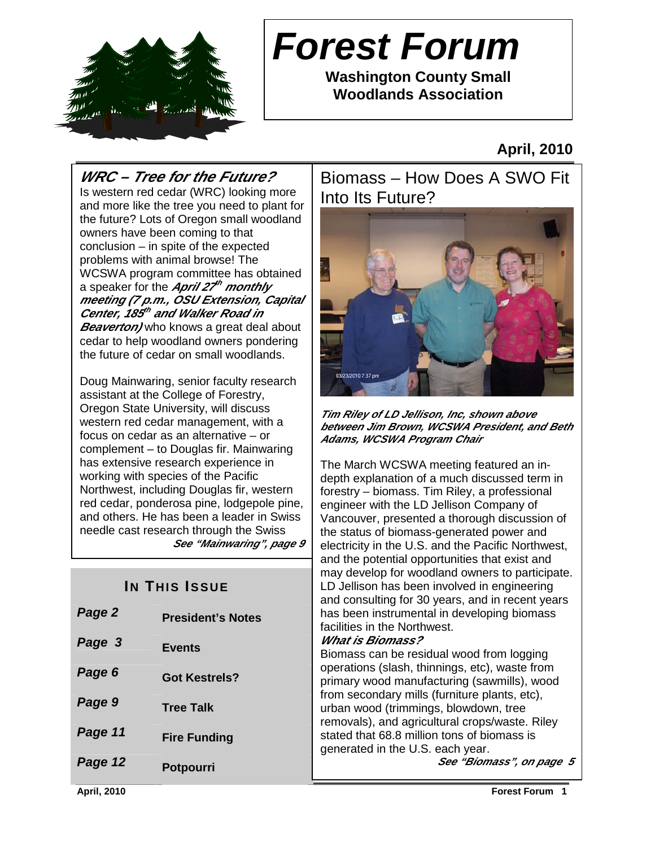

# **Forest Forum**

**Washington County Small Woodlands Association** 

**April, 2010** 

# **WRC – Tree for the Future?**

Is western red cedar (WRC) looking more and more like the tree you need to plant for the future? Lots of Oregon small woodland owners have been coming to that conclusion – in spite of the expected problems with animal browse! The WCSWA program committee has obtained a speaker for the **April 27 th monthly meeting (7 p.m., OSU Extension, Capital Center, 185 th and Walker Road in Beaverton/** who knows a great deal about cedar to help woodland owners pondering the future of cedar on small woodlands.

Doug Mainwaring, senior faculty research assistant at the College of Forestry, Oregon State University, will discuss western red cedar management, with a focus on cedar as an alternative – or complement – to Douglas fir. Mainwaring has extensive research experience in working with species of the Pacific Northwest, including Douglas fir, western red cedar, ponderosa pine, lodgepole pine, and others. He has been a leader in Swiss needle cast research through the Swiss **See "Mainwaring", page 9**

| Page 2  | <b>President's Notes</b> |
|---------|--------------------------|
| Page 3  | <b>Events</b>            |
| Page 6  | <b>Got Kestrels?</b>     |
| Page 9  | <b>Tree Talk</b>         |
| Page 11 | <b>Fire Funding</b>      |
| Page 12 | <b>Potpourri</b>         |

Biomass – How Does A SWO Fit Into Its Future?



**Tim Riley of LD Jellison, Inc, shown above between Jim Brown, WCSWA President, and Beth Adams, WCSWA Program Chair**

and the potential opportunities that exist and<br>may dovelen for woodland owners to participate **IN THIS ISSUE** The March WCSWA meeting featured an indepth explanation of a much discussed term in forestry – biomass. Tim Riley, a professional engineer with the LD Jellison Company of Vancouver, presented a thorough discussion of the status of biomass-generated power and electricity in the U.S. and the Pacific Northwest, may develop for woodland owners to participate. and consulting for 30 years, and in recent years has been instrumental in developing biomass facilities in the Northwest.

#### **What is Biomass?**

Biomass can be residual wood from logging operations (slash, thinnings, etc), waste from primary wood manufacturing (sawmills), wood from secondary mills (furniture plants, etc), urban wood (trimmings, blowdown, tree removals), and agricultural crops/waste. Riley stated that 68.8 million tons of biomass is generated in the U.S. each year.

**See "Biomass", on page 5**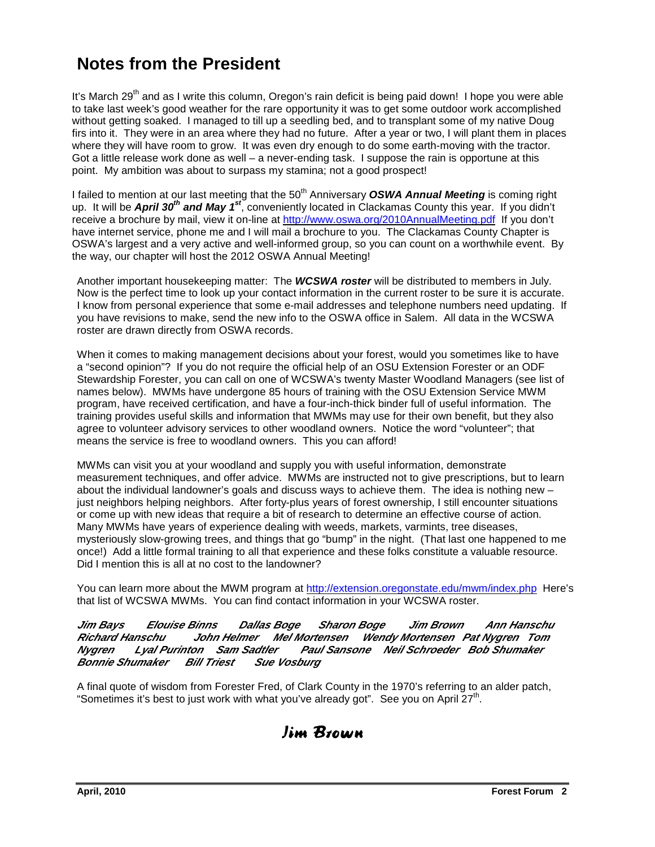# **Notes from the President**

It's March 29<sup>th</sup> and as I write this column, Oregon's rain deficit is being paid down! I hope you were able to take last week's good weather for the rare opportunity it was to get some outdoor work accomplished without getting soaked. I managed to till up a seedling bed, and to transplant some of my native Doug firs into it. They were in an area where they had no future. After a year or two, I will plant them in places where they will have room to grow. It was even dry enough to do some earth-moving with the tractor. Got a little release work done as well – a never-ending task. I suppose the rain is opportune at this point. My ambition was about to surpass my stamina; not a good prospect!

I failed to mention at our last meeting that the 50<sup>th</sup> Anniversary **OSWA Annual Meeting** is coming right up. It will be **April 30th and May 1st**, conveniently located in Clackamas County this year. If you didn't receive a brochure by mail, view it on-line at http://www.oswa.org/2010AnnualMeeting.pdf If you don't have internet service, phone me and I will mail a brochure to you. The Clackamas County Chapter is OSWA's largest and a very active and well-informed group, so you can count on a worthwhile event. By the way, our chapter will host the 2012 OSWA Annual Meeting!

Another important housekeeping matter: The **WCSWA roster** will be distributed to members in July. Now is the perfect time to look up your contact information in the current roster to be sure it is accurate. I know from personal experience that some e-mail addresses and telephone numbers need updating. If you have revisions to make, send the new info to the OSWA office in Salem. All data in the WCSWA roster are drawn directly from OSWA records.

When it comes to making management decisions about your forest, would you sometimes like to have a "second opinion"? If you do not require the official help of an OSU Extension Forester or an ODF Stewardship Forester, you can call on one of WCSWA's twenty Master Woodland Managers (see list of names below). MWMs have undergone 85 hours of training with the OSU Extension Service MWM program, have received certification, and have a four-inch-thick binder full of useful information. The training provides useful skills and information that MWMs may use for their own benefit, but they also agree to volunteer advisory services to other woodland owners. Notice the word "volunteer"; that means the service is free to woodland owners. This you can afford!

MWMs can visit you at your woodland and supply you with useful information, demonstrate measurement techniques, and offer advice. MWMs are instructed not to give prescriptions, but to learn about the individual landowner's goals and discuss ways to achieve them. The idea is nothing new – just neighbors helping neighbors. After forty-plus years of forest ownership, I still encounter situations or come up with new ideas that require a bit of research to determine an effective course of action. Many MWMs have years of experience dealing with weeds, markets, varmints, tree diseases, mysteriously slow-growing trees, and things that go "bump" in the night. (That last one happened to me once!) Add a little formal training to all that experience and these folks constitute a valuable resource. Did I mention this is all at no cost to the landowner?

You can learn more about the MWM program at http://extension.oregonstate.edu/mwm/index.php Here's that list of WCSWA MWMs. You can find contact information in your WCSWA roster.

#### **Jim Bays Elouise Binns Dallas Boge Sharon Boge Jim Brown Ann Hanschu Richard Hanschu John Helmer Mel Mortensen Wendy Mortensen Pat Nygren Tom Nygren Lyal Purinton Sam Sadtler Paul Sansone Neil Schroeder Bob Shumaker Bonnie Shumaker Bill Triest Sue Vosburg**

A final quote of wisdom from Forester Fred, of Clark County in the 1970's referring to an alder patch, "Sometimes it's best to just work with what you've already got". See you on April 27<sup>th</sup>.

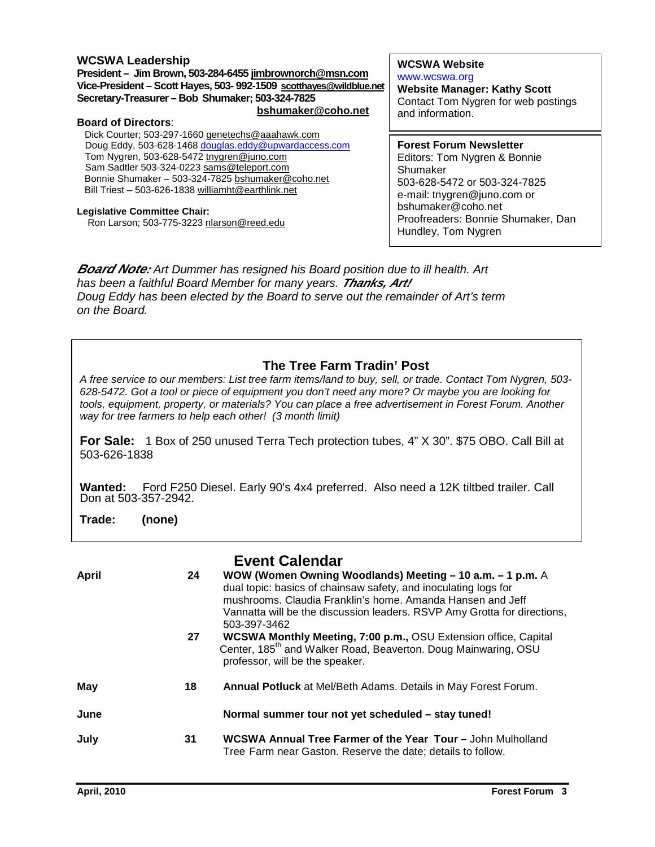#### **WCSWA Leadership**

**President – Jim Brown, 503-284-6455 jimbrownorch@msn.com Vice-President – Scott Hayes, 503- 992-1509 scotthayes@wildblue.net Secretary-Treasurer – Bob Shumaker; 503-324-7825 bshumaker@coho.net**

#### **Board of Directors**:

Dick Courter; 503-297-1660 genetechs@aaahawk.com Doug Eddy, 503-628-1468 douglas.eddy@upwardaccess.com Tom Nygren, 503-628-5472 tnygren@juno.com Sam Sadtler 503-324-0223 sams@teleport.com Bonnie Shumaker – 503-324-7825 bshumaker@coho.net Bill Triest – 503-626-1838 williamht@earthlink.net

#### **Legislative Committee Chair:**

Ron Larson; 503-775-3223 nlarson@reed.edu

#### **WCSWA Website**

www.wcswa.org **Website Manager: Kathy Scott** Contact Tom Nygren for web postings and information.

**Forest Forum Newsletter** Editors: Tom Nygren & Bonnie Shumaker 503-628-5472 or 503-324-7825 e-mail: tnygren@juno.com or bshumaker@coho.net Proofreaders: Bonnie Shumaker, Dan Hundley, Tom Nygren

**Board Note:** Art Dummer has resigned his Board position due to ill health. Art has been a faithful Board Member for many years. **Thanks, Art!**  Doug Eddy has been elected by the Board to serve out the remainder of Art's term on the Board.

#### **The Tree Farm Tradin' Post**

A free service to our members: List tree farm items/land to buy, sell, or trade. Contact Tom Nygren, 503- 628-5472. Got a tool or piece of equipment you don't need any more? Or maybe you are looking for tools, equipment, property, or materials? You can place a free advertisement in Forest Forum. Another way for tree farmers to help each other! (3 month limit)

**For Sale:** 1 Box of 250 unused Terra Tech protection tubes, 4" X 30". \$75 OBO. Call Bill at 503-626-1838

**Wanted:** Ford F250 Diesel. Early 90's 4x4 preferred. Also need a 12K tiltbed trailer. Call Don at 503-357-2942.

**Trade: (none)** 

|              |    | <b>Event Calendar</b>                                                                                                                                                                                                                                                                  |
|--------------|----|----------------------------------------------------------------------------------------------------------------------------------------------------------------------------------------------------------------------------------------------------------------------------------------|
| <b>April</b> | 24 | WOW (Women Owning Woodlands) Meeting – 10 a.m. – 1 p.m. A<br>dual topic: basics of chainsaw safety, and inoculating logs for<br>mushrooms. Claudia Franklin's home. Amanda Hansen and Jeff<br>Vannatta will be the discussion leaders. RSVP Amy Grotta for directions,<br>503-397-3462 |
|              | 27 | WCSWA Monthly Meeting, 7:00 p.m., OSU Extension office, Capital<br>Center, 185 <sup>th</sup> and Walker Road, Beaverton. Doug Mainwaring, OSU<br>professor, will be the speaker.                                                                                                       |
| May          | 18 | <b>Annual Potluck</b> at Mel/Beth Adams. Details in May Forest Forum.                                                                                                                                                                                                                  |
| June         |    | Normal summer tour not yet scheduled - stay tuned!                                                                                                                                                                                                                                     |
| July         | 31 | <b>WCSWA Annual Tree Farmer of the Year Tour - John Mulholland</b><br>Tree Farm near Gaston. Reserve the date; details to follow.                                                                                                                                                      |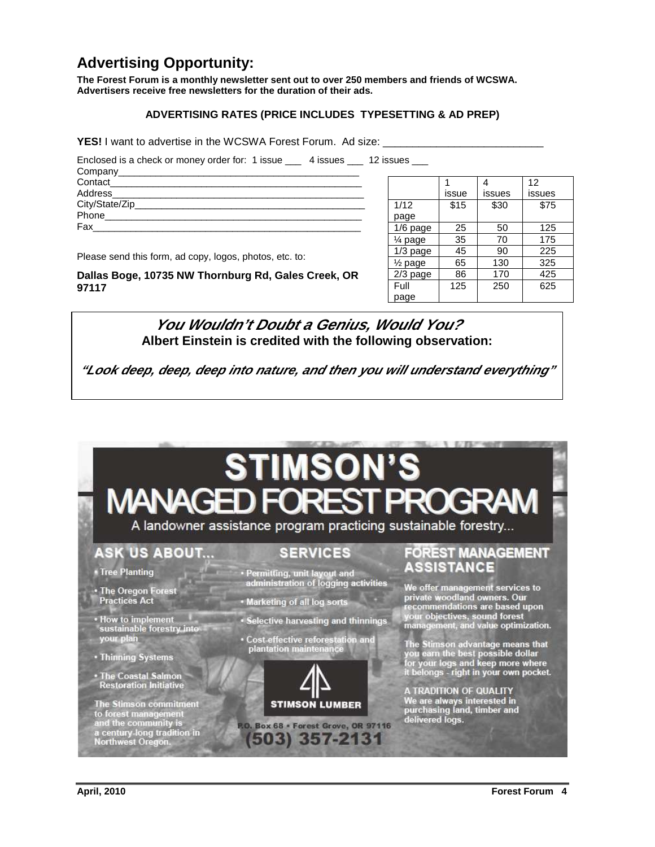### **Advertising Opportunity:**

**The Forest Forum is a monthly newsletter sent out to over 250 members and friends of WCSWA. Advertisers receive free newsletters for the duration of their ads.** 

#### **ADVERTISING RATES (PRICE INCLUDES TYPESETTING & AD PREP)**

**YES!** I want to advertise in the WCSWA Forest Forum. Ad size:

Enclosed is a check or money order for: 1 issue \_\_\_\_ 4 issues \_\_\_\_ 12 issues \_\_\_

| Contact___________             |  |  |
|--------------------------------|--|--|
| Address_______________________ |  |  |
| City/State/Zip_____            |  |  |
|                                |  |  |
| Fax                            |  |  |
|                                |  |  |

Please send this form, ad copy, logos, photos, etc. to:

**Dallas Boge, 10735 NW Thornburg Rd, Gales Creek, OR 97117** 

|                      |       |        | 12     |
|----------------------|-------|--------|--------|
|                      | issue | issues | issues |
| 1/12                 | \$15  | \$30   | \$75   |
| page                 |       |        |        |
| 1/6 page             | 25    | 50     | 125    |
| 1⁄4 page             | 35    | 70     | 175    |
| $1/3$ page           | 45    | 90     | 225    |
| 1/ <sub>2</sub> page | 65    | 130    | 325    |
| $2/3$ page           | 86    | 170    | 425    |
| Full                 | 125   | 250    | 625    |
| page                 |       |        |        |

**Albert Einstein is credited with the following observation: You Wouldn't Doubt a Genius, Would You?** 

**"Look deep, deep, deep into nature, and then you will understand everything"**

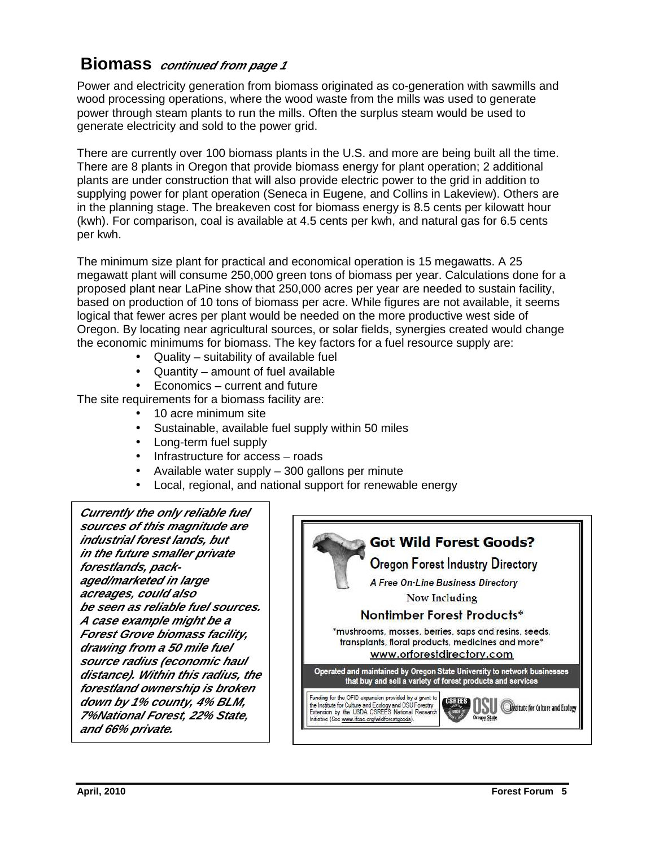### **Biomass continued from page 1**

Power and electricity generation from biomass originated as co-generation with sawmills and wood processing operations, where the wood waste from the mills was used to generate power through steam plants to run the mills. Often the surplus steam would be used to generate electricity and sold to the power grid.

There are currently over 100 biomass plants in the U.S. and more are being built all the time. There are 8 plants in Oregon that provide biomass energy for plant operation; 2 additional plants are under construction that will also provide electric power to the grid in addition to supplying power for plant operation (Seneca in Eugene, and Collins in Lakeview). Others are in the planning stage. The breakeven cost for biomass energy is 8.5 cents per kilowatt hour (kwh). For comparison, coal is available at 4.5 cents per kwh, and natural gas for 6.5 cents per kwh.

The minimum size plant for practical and economical operation is 15 megawatts. A 25 megawatt plant will consume 250,000 green tons of biomass per year. Calculations done for a proposed plant near LaPine show that 250,000 acres per year are needed to sustain facility, based on production of 10 tons of biomass per acre. While figures are not available, it seems logical that fewer acres per plant would be needed on the more productive west side of Oregon. By locating near agricultural sources, or solar fields, synergies created would change the economic minimums for biomass. The key factors for a fuel resource supply are:

- Quality suitability of available fuel
- Quantity amount of fuel available
- Economics current and future

The site requirements for a biomass facility are:

- 10 acre minimum site
- Sustainable, available fuel supply within 50 miles
- Long-term fuel supply
- Infrastructure for access roads
- Available water supply 300 gallons per minute
- Local, regional, and national support for renewable energy

**Currently the only reliable fuel sources of this magnitude are industrial forest lands, but in the future smaller private forestlands, packaged/marketed in large acreages, could also be seen as reliable fuel sources. A case example might be a Forest Grove biomass facility, drawing from a 50 mile fuel source radius (economic haul distance). Within this radius, the forestland ownership is broken down by 1% county, 4% BLM, 7%National Forest, 22% State, and 66% private.**   $\overline{a}$ 

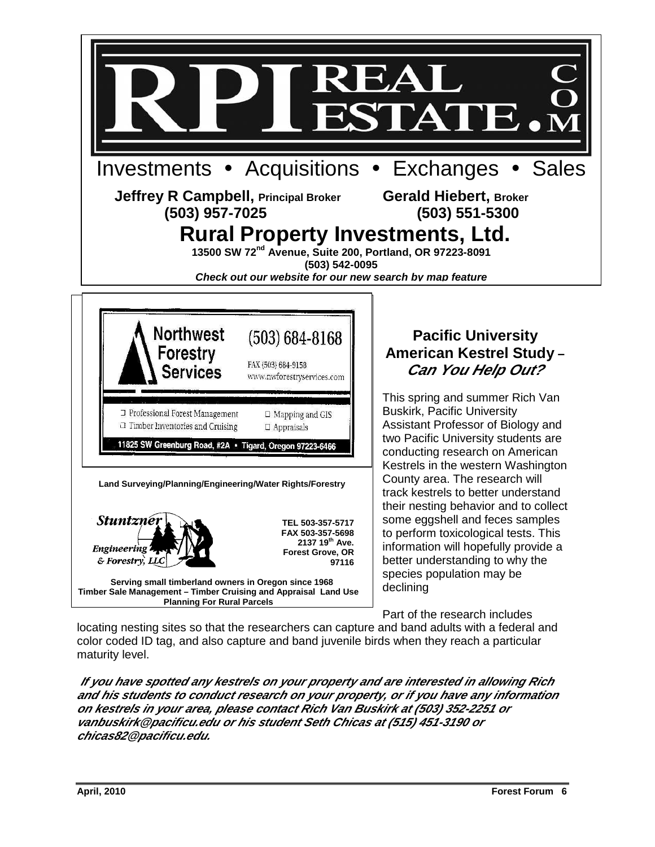

locating nesting sites so that the researchers can capture and band adults with a federal and color coded ID tag, and also capture and band juvenile birds when they reach a particular maturity level.

**If you have spotted any kestrels on your property and are interested in allowing Rich and his students to conduct research on your property, or if you have any information on kestrels in your area, please contact Rich Van Buskirk at (503) 352-2251 or vanbuskirk@pacificu.edu or his student Seth Chicas at (515) 451-3190 or chicas82@pacificu.edu.**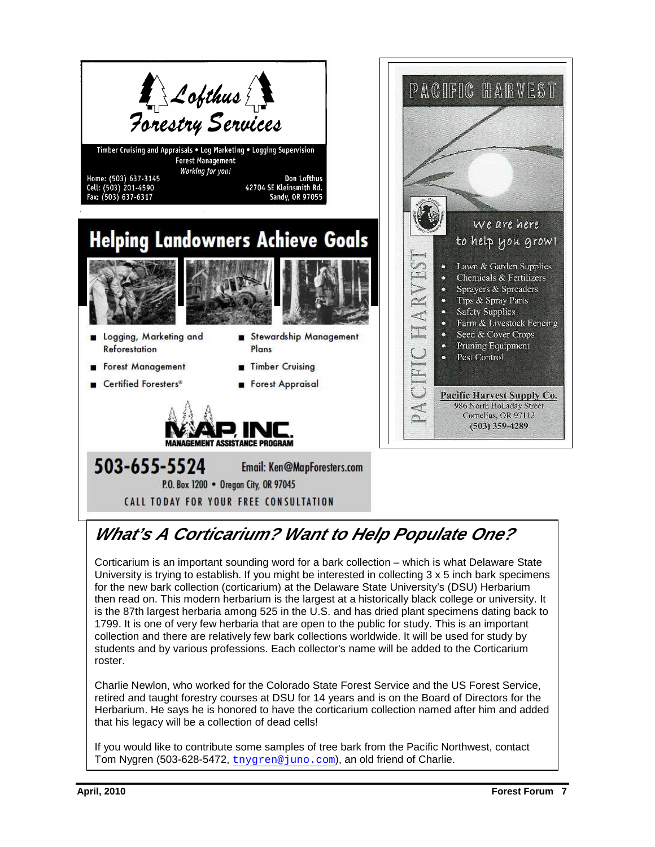

# **What's A Corticarium? Want to Help Populate One?**

Corticarium is an important sounding word for a bark collection – which is what Delaware State University is trying to establish. If you might be interested in collecting 3 x 5 inch bark specimens for the new bark collection (corticarium) at the Delaware State University's (DSU) Herbarium then read on. This modern herbarium is the largest at a historically black college or university. It is the 87th largest herbaria among 525 in the U.S. and has dried plant specimens dating back to 1799. It is one of very few herbaria that are open to the public for study. This is an important collection and there are relatively few bark collections worldwide. It will be used for study by students and by various professions. Each collector's name will be added to the Corticarium roster.

Charlie Newlon, who worked for the Colorado State Forest Service and the US Forest Service, retired and taught forestry courses at DSU for 14 years and is on the Board of Directors for the Herbarium. He says he is honored to have the corticarium collection named after him and added that his legacy will be a collection of dead cells!

If you would like to contribute some samples of tree bark from the Pacific Northwest, contact Tom Nygren (503-628-5472, tnygren@juno.com), an old friend of Charlie.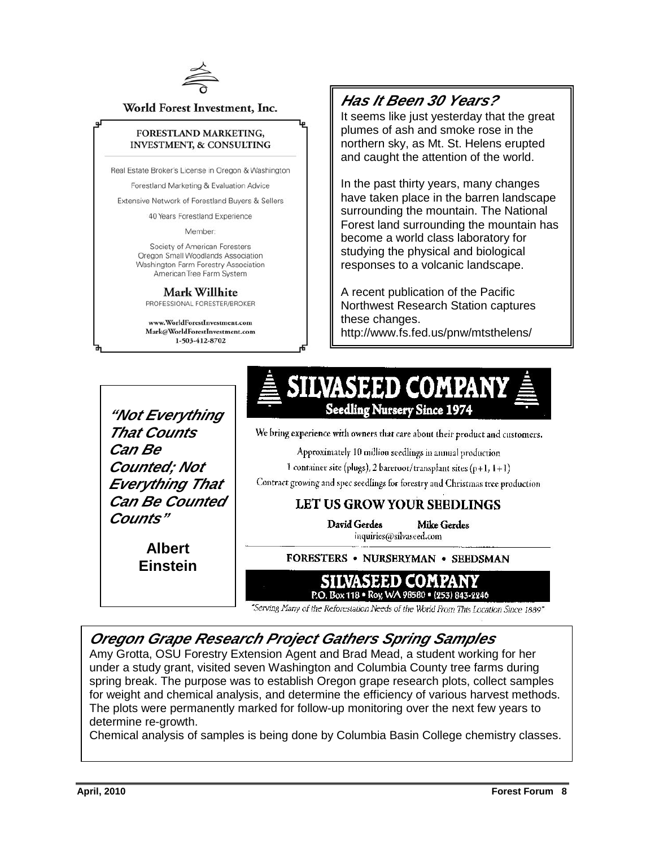

World Forest Investment, Inc.

#### FORESTLAND MARKETING, **INVESTMENT, & CONSULTING**

Real Estate Broker's License in Oregon & Washington

Forestland Marketing & Evaluation Advice

Extensive Network of Forestland Buyers & Sellers

40 Years Forestland Experience

Member:

Society of American Foresters Oregon Small Woodlands Association Washington Farm Forestry Association American Tree Farm System

Mark Willhite PROFESSIONAL FORESTER/BROKER

www.WorldForestInvestment.com Mark@WorldForestInvestment.com 1-503-412-8702

### **Has It Been 30 Years?**

It seems like just yesterday that the great plumes of ash and smoke rose in the northern sky, as Mt. St. Helens erupted and caught the attention of the world.

In the past thirty years, many changes have taken place in the barren landscape surrounding the mountain. The National Forest land surrounding the mountain has become a world class laboratory for studying the physical and biological responses to a volcanic landscape.

A recent publication of the Pacific Northwest Research Station captures these changes. http://www.fs.fed.us/pnw/mtsthelens/

**"Not Everything That Counts Can Be Counted; Not Everything That Can Be Counted Counts"** 

> **Albert Einstein**

We bring experience with owners that care about their product and customers.

**Seedling Nursery Since 1974** 

SILVASEED COMPAN

Approximately 10 million seedlings in annual production

1 container site (plugs), 2 bareroot/transplant sites (p+1,  $1+1$ )

Contract growing and spec seedlings for forestry and Christmas tree production

#### LET US GROW YOUR SEEDLINGS

David Gerdes **Mike Gerdes** 

inquiries@silvaseed.com

FORESTERS . NURSERYMAN . SEEDSMAN

#### SILVASEED COMPANY P.O. Box 118 · Roy, WA 98580 · (253) 843-2246

"Serving Many of the Reforcstation Needs of the World From This Location Since 1889"

#### **Oregon Grape Research Project Gathers Spring Samples**

Amy Grotta, OSU Forestry Extension Agent and Brad Mead, a student working for her under a study grant, visited seven Washington and Columbia County tree farms during spring break. The purpose was to establish Oregon grape research plots, collect samples for weight and chemical analysis, and determine the efficiency of various harvest methods. The plots were permanently marked for follow-up monitoring over the next few years to determine re-growth.

Chemical analysis of samples is being done by Columbia Basin College chemistry classes.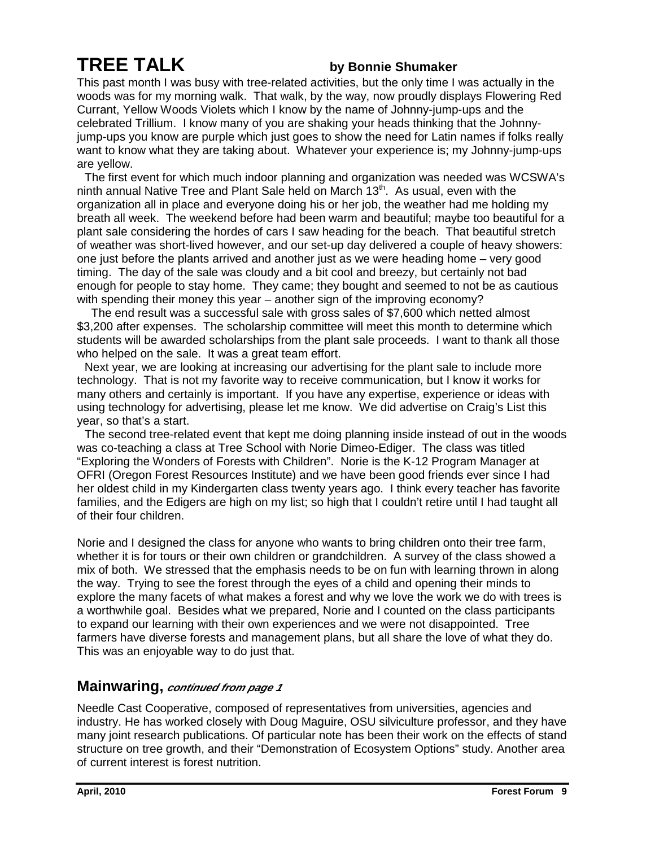# **TREE TALK by Bonnie Shumaker**

This past month I was busy with tree-related activities, but the only time I was actually in the woods was for my morning walk. That walk, by the way, now proudly displays Flowering Red Currant, Yellow Woods Violets which I know by the name of Johnny-jump-ups and the celebrated Trillium. I know many of you are shaking your heads thinking that the Johnnyjump-ups you know are purple which just goes to show the need for Latin names if folks really want to know what they are taking about. Whatever your experience is; my Johnny-jump-ups are yellow.

 The first event for which much indoor planning and organization was needed was WCSWA's ninth annual Native Tree and Plant Sale held on March  $13<sup>th</sup>$ . As usual, even with the organization all in place and everyone doing his or her job, the weather had me holding my breath all week. The weekend before had been warm and beautiful; maybe too beautiful for a plant sale considering the hordes of cars I saw heading for the beach. That beautiful stretch of weather was short-lived however, and our set-up day delivered a couple of heavy showers: one just before the plants arrived and another just as we were heading home – very good timing. The day of the sale was cloudy and a bit cool and breezy, but certainly not bad enough for people to stay home. They came; they bought and seemed to not be as cautious with spending their money this year – another sign of the improving economy?

 The end result was a successful sale with gross sales of \$7,600 which netted almost \$3,200 after expenses. The scholarship committee will meet this month to determine which students will be awarded scholarships from the plant sale proceeds. I want to thank all those who helped on the sale. It was a great team effort.

 Next year, we are looking at increasing our advertising for the plant sale to include more technology. That is not my favorite way to receive communication, but I know it works for many others and certainly is important. If you have any expertise, experience or ideas with using technology for advertising, please let me know. We did advertise on Craig's List this year, so that's a start.

 The second tree-related event that kept me doing planning inside instead of out in the woods was co-teaching a class at Tree School with Norie Dimeo-Ediger. The class was titled "Exploring the Wonders of Forests with Children". Norie is the K-12 Program Manager at OFRI (Oregon Forest Resources Institute) and we have been good friends ever since I had her oldest child in my Kindergarten class twenty years ago. I think every teacher has favorite families, and the Edigers are high on my list; so high that I couldn't retire until I had taught all of their four children.

Norie and I designed the class for anyone who wants to bring children onto their tree farm, whether it is for tours or their own children or grandchildren. A survey of the class showed a mix of both. We stressed that the emphasis needs to be on fun with learning thrown in along the way. Trying to see the forest through the eyes of a child and opening their minds to explore the many facets of what makes a forest and why we love the work we do with trees is a worthwhile goal. Besides what we prepared, Norie and I counted on the class participants to expand our learning with their own experiences and we were not disappointed. Tree farmers have diverse forests and management plans, but all share the love of what they do. This was an enjoyable way to do just that.

#### **Mainwaring, continued from page 1**

Needle Cast Cooperative, composed of representatives from universities, agencies and industry. He has worked closely with Doug Maguire, OSU silviculture professor, and they have many joint research publications. Of particular note has been their work on the effects of stand structure on tree growth, and their "Demonstration of Ecosystem Options" study. Another area of current interest is forest nutrition.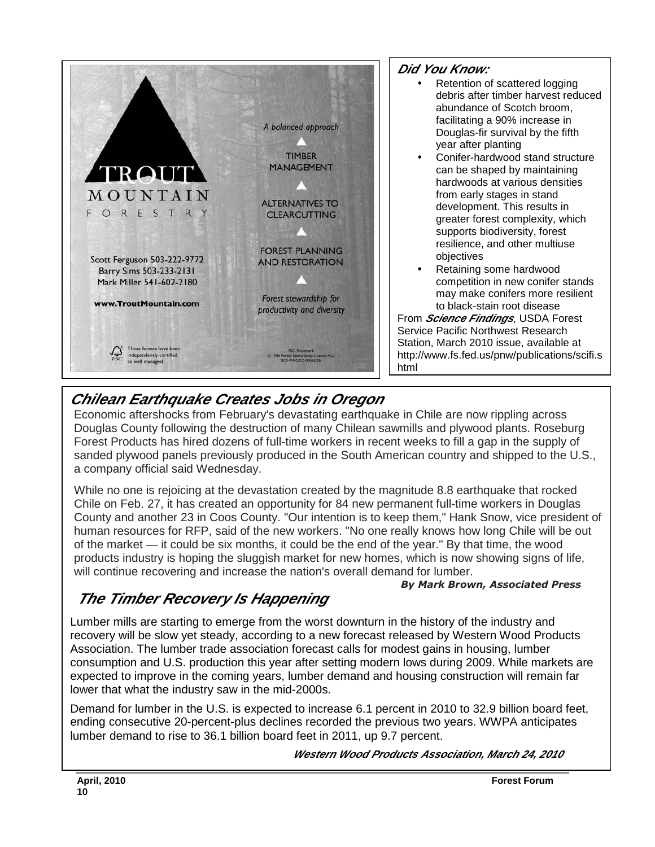

#### **Did You Know:**

- Retention of scattered logging debris after timber harvest reduced abundance of Scotch broom, facilitating a 90% increase in Douglas-fir survival by the fifth year after planting
	- Conifer-hardwood stand structure can be shaped by maintaining hardwoods at various densities from early stages in stand development. This results in greater forest complexity, which supports biodiversity, forest resilience, and other multiuse objectives
- Retaining some hardwood competition in new conifer stands may make conifers more resilient to black-stain root disease

From **Science Findings**, USDA Forest Service Pacific Northwest Research Station, March 2010 issue, available at http://www.fs.fed.us/pnw/publications/scifi.s html

# **Chilean Earthquake Creates Jobs in Oregon**

Economic aftershocks from February's devastating earthquake in Chile are now rippling across Douglas County following the destruction of many Chilean sawmills and plywood plants. Roseburg Forest Products has hired dozens of full-time workers in recent weeks to fill a gap in the supply of sanded plywood panels previously produced in the South American country and shipped to the U.S., a company official said Wednesday.

While no one is rejoicing at the devastation created by the magnitude 8.8 earthquake that rocked Chile on Feb. 27, it has created an opportunity for 84 new permanent full-time workers in Douglas County and another 23 in Coos County. "Our intention is to keep them," Hank Snow, vice president of human resources for RFP, said of the new workers. "No one really knows how long Chile will be out of the market — it could be six months, it could be the end of the year." By that time, the wood products industry is hoping the sluggish market for new homes, which is now showing signs of life, will continue recovering and increase the nation's overall demand for lumber.

#### By Mark Brown, Associated Press

# **The Timber Recovery Is Happening**

Lumber mills are starting to emerge from the worst downturn in the history of the industry and recovery will be slow yet steady, according to a new forecast released by Western Wood Products Association. The lumber trade association forecast calls for modest gains in housing, lumber consumption and U.S. production this year after setting modern lows during 2009. While markets are expected to improve in the coming years, lumber demand and housing construction will remain far lower that what the industry saw in the mid-2000s.

Demand for lumber in the U.S. is expected to increase 6.1 percent in 2010 to 32.9 billion board feet, ending consecutive 20-percent-plus declines recorded the previous two years. WWPA anticipates lumber demand to rise to 36.1 billion board feet in 2011, up 9.7 percent.

 **Western Wood Products Association, March 24, 2010**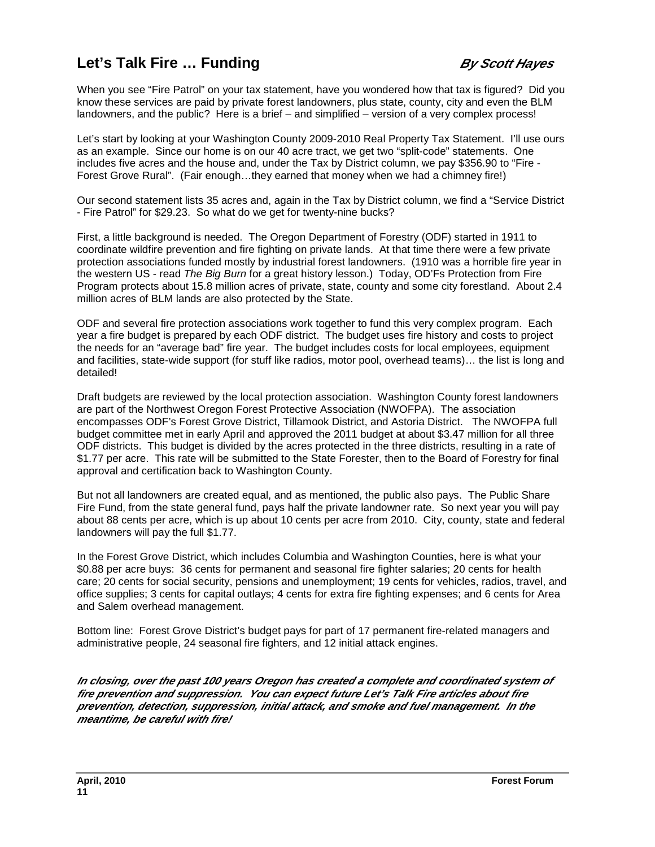## **Let's Talk Fire ... Funding By Scott Hayes**

When you see "Fire Patrol" on your tax statement, have you wondered how that tax is figured? Did you know these services are paid by private forest landowners, plus state, county, city and even the BLM landowners, and the public? Here is a brief – and simplified – version of a very complex process!

Let's start by looking at your Washington County 2009-2010 Real Property Tax Statement. I'll use ours as an example. Since our home is on our 40 acre tract, we get two "split-code" statements. One includes five acres and the house and, under the Tax by District column, we pay \$356.90 to "Fire - Forest Grove Rural". (Fair enough…they earned that money when we had a chimney fire!)

Our second statement lists 35 acres and, again in the Tax by District column, we find a "Service District - Fire Patrol" for \$29.23. So what do we get for twenty-nine bucks?

First, a little background is needed. The Oregon Department of Forestry (ODF) started in 1911 to coordinate wildfire prevention and fire fighting on private lands. At that time there were a few private protection associations funded mostly by industrial forest landowners. (1910 was a horrible fire year in the western US - read The Big Burn for a great history lesson.) Today, OD'Fs Protection from Fire Program protects about 15.8 million acres of private, state, county and some city forestland. About 2.4 million acres of BLM lands are also protected by the State.

ODF and several fire protection associations work together to fund this very complex program. Each year a fire budget is prepared by each ODF district. The budget uses fire history and costs to project the needs for an "average bad" fire year. The budget includes costs for local employees, equipment and facilities, state-wide support (for stuff like radios, motor pool, overhead teams)… the list is long and detailed!

Draft budgets are reviewed by the local protection association. Washington County forest landowners are part of the Northwest Oregon Forest Protective Association (NWOFPA). The association encompasses ODF's Forest Grove District, Tillamook District, and Astoria District. The NWOFPA full budget committee met in early April and approved the 2011 budget at about \$3.47 million for all three ODF districts. This budget is divided by the acres protected in the three districts, resulting in a rate of \$1.77 per acre. This rate will be submitted to the State Forester, then to the Board of Forestry for final approval and certification back to Washington County.

But not all landowners are created equal, and as mentioned, the public also pays. The Public Share Fire Fund, from the state general fund, pays half the private landowner rate. So next year you will pay about 88 cents per acre, which is up about 10 cents per acre from 2010. City, county, state and federal landowners will pay the full \$1.77.

In the Forest Grove District, which includes Columbia and Washington Counties, here is what your \$0.88 per acre buys: 36 cents for permanent and seasonal fire fighter salaries; 20 cents for health care; 20 cents for social security, pensions and unemployment; 19 cents for vehicles, radios, travel, and office supplies; 3 cents for capital outlays; 4 cents for extra fire fighting expenses; and 6 cents for Area and Salem overhead management.

Bottom line: Forest Grove District's budget pays for part of 17 permanent fire-related managers and administrative people, 24 seasonal fire fighters, and 12 initial attack engines.

**In closing, over the past 100 years Oregon has created a complete and coordinated system of fire prevention and suppression. You can expect future Let's Talk Fire articles about fire prevention, detection, suppression, initial attack, and smoke and fuel management. In the meantime, be careful with fire!**